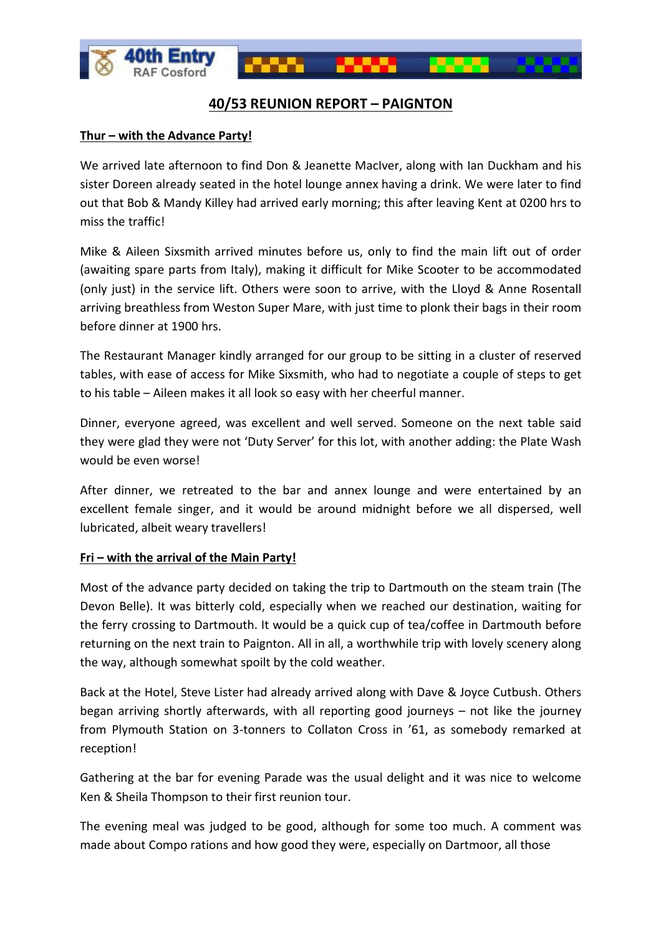

# **40/53 REUNION REPORT – PAIGNTON**

# **Thur – with the Advance Party!**

We arrived late afternoon to find Don & Jeanette MacIver, along with Ian Duckham and his sister Doreen already seated in the hotel lounge annex having a drink. We were later to find out that Bob & Mandy Killey had arrived early morning; this after leaving Kent at 0200 hrs to miss the traffic!

Mike & Aileen Sixsmith arrived minutes before us, only to find the main lift out of order (awaiting spare parts from Italy), making it difficult for Mike Scooter to be accommodated (only just) in the service lift. Others were soon to arrive, with the Lloyd & Anne Rosentall arriving breathless from Weston Super Mare, with just time to plonk their bags in their room before dinner at 1900 hrs.

The Restaurant Manager kindly arranged for our group to be sitting in a cluster of reserved tables, with ease of access for Mike Sixsmith, who had to negotiate a couple of steps to get to his table – Aileen makes it all look so easy with her cheerful manner.

Dinner, everyone agreed, was excellent and well served. Someone on the next table said they were glad they were not 'Duty Server' for this lot, with another adding: the Plate Wash would be even worse!

After dinner, we retreated to the bar and annex lounge and were entertained by an excellent female singer, and it would be around midnight before we all dispersed, well lubricated, albeit weary travellers!

# **Fri – with the arrival of the Main Party!**

Most of the advance party decided on taking the trip to Dartmouth on the steam train (The Devon Belle). It was bitterly cold, especially when we reached our destination, waiting for the ferry crossing to Dartmouth. It would be a quick cup of tea/coffee in Dartmouth before returning on the next train to Paignton. All in all, a worthwhile trip with lovely scenery along the way, although somewhat spoilt by the cold weather.

Back at the Hotel, Steve Lister had already arrived along with Dave & Joyce Cutbush. Others began arriving shortly afterwards, with all reporting good journeys – not like the journey from Plymouth Station on 3-tonners to Collaton Cross in '61, as somebody remarked at reception!

Gathering at the bar for evening Parade was the usual delight and it was nice to welcome Ken & Sheila Thompson to their first reunion tour.

The evening meal was judged to be good, although for some too much. A comment was made about Compo rations and how good they were, especially on Dartmoor, all those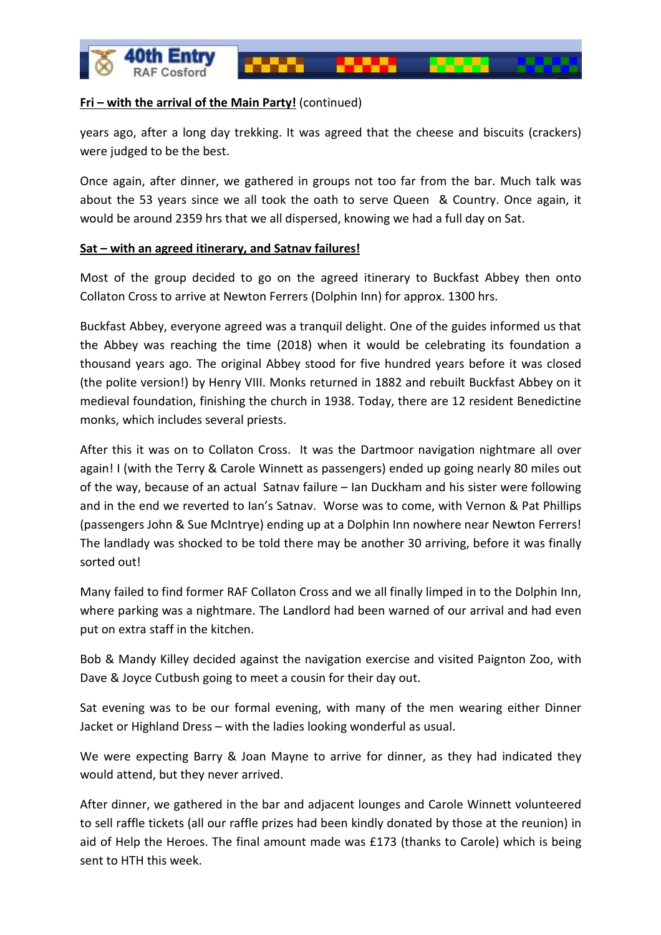

# **Fri – with the arrival of the Main Party!** (continued)

years ago, after a long day trekking. It was agreed that the cheese and biscuits (crackers) were judged to be the best.

Once again, after dinner, we gathered in groups not too far from the bar. Much talk was about the 53 years since we all took the oath to serve Queen & Country. Once again, it would be around 2359 hrs that we all dispersed, knowing we had a full day on Sat.

# **Sat – with an agreed itinerary, and Satnav failures!**

Most of the group decided to go on the agreed itinerary to Buckfast Abbey then onto Collaton Cross to arrive at Newton Ferrers (Dolphin Inn) for approx. 1300 hrs.

Buckfast Abbey, everyone agreed was a tranquil delight. One of the guides informed us that the Abbey was reaching the time (2018) when it would be celebrating its foundation a thousand years ago. The original Abbey stood for five hundred years before it was closed (the polite version!) by Henry VIII. Monks returned in 1882 and rebuilt Buckfast Abbey on it medieval foundation, finishing the church in 1938. Today, there are 12 resident Benedictine monks, which includes several priests.

After this it was on to Collaton Cross. It was the Dartmoor navigation nightmare all over again! I (with the Terry & Carole Winnett as passengers) ended up going nearly 80 miles out of the way, because of an actual Satnav failure – Ian Duckham and his sister were following and in the end we reverted to Ian's Satnav. Worse was to come, with Vernon & Pat Phillips (passengers John & Sue McIntrye) ending up at a Dolphin Inn nowhere near Newton Ferrers! The landlady was shocked to be told there may be another 30 arriving, before it was finally sorted out!

Many failed to find former RAF Collaton Cross and we all finally limped in to the Dolphin Inn, where parking was a nightmare. The Landlord had been warned of our arrival and had even put on extra staff in the kitchen.

Bob & Mandy Killey decided against the navigation exercise and visited Paignton Zoo, with Dave & Joyce Cutbush going to meet a cousin for their day out.

Sat evening was to be our formal evening, with many of the men wearing either Dinner Jacket or Highland Dress – with the ladies looking wonderful as usual.

We were expecting Barry & Joan Mayne to arrive for dinner, as they had indicated they would attend, but they never arrived.

After dinner, we gathered in the bar and adjacent lounges and Carole Winnett volunteered to sell raffle tickets (all our raffle prizes had been kindly donated by those at the reunion) in aid of Help the Heroes. The final amount made was £173 (thanks to Carole) which is being sent to HTH this week.